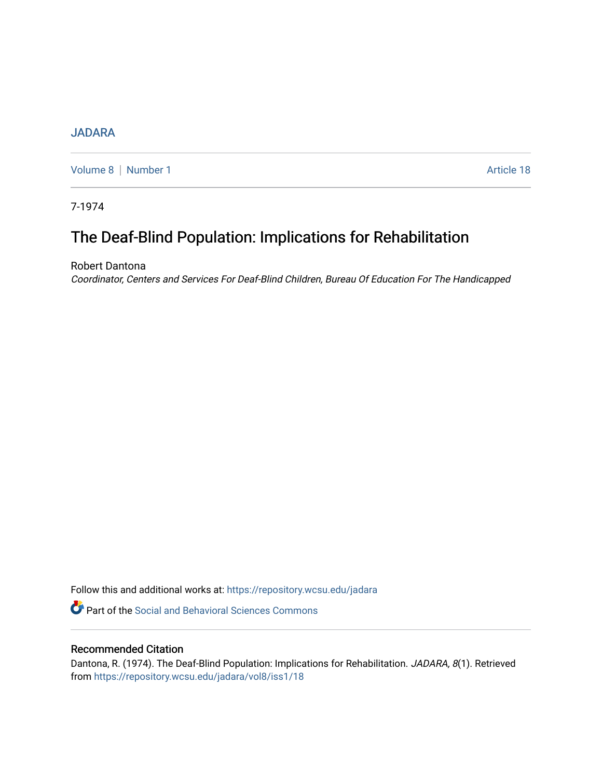## **[JADARA](https://repository.wcsu.edu/jadara)**

[Volume 8](https://repository.wcsu.edu/jadara/vol8) | [Number 1](https://repository.wcsu.edu/jadara/vol8/iss1) Article 18

7-1974

# The Deaf-Blind Population: Implications for Rehabilitation

Robert Dantona

Coordinator, Centers and Services For Deaf-Blind Children, Bureau Of Education For The Handicapped

Follow this and additional works at: [https://repository.wcsu.edu/jadara](https://repository.wcsu.edu/jadara?utm_source=repository.wcsu.edu%2Fjadara%2Fvol8%2Fiss1%2F18&utm_medium=PDF&utm_campaign=PDFCoverPages)

**P** Part of the Social and Behavioral Sciences Commons

## Recommended Citation

Dantona, R. (1974). The Deaf-Blind Population: Implications for Rehabilitation. JADARA, 8(1). Retrieved from [https://repository.wcsu.edu/jadara/vol8/iss1/18](https://repository.wcsu.edu/jadara/vol8/iss1/18?utm_source=repository.wcsu.edu%2Fjadara%2Fvol8%2Fiss1%2F18&utm_medium=PDF&utm_campaign=PDFCoverPages)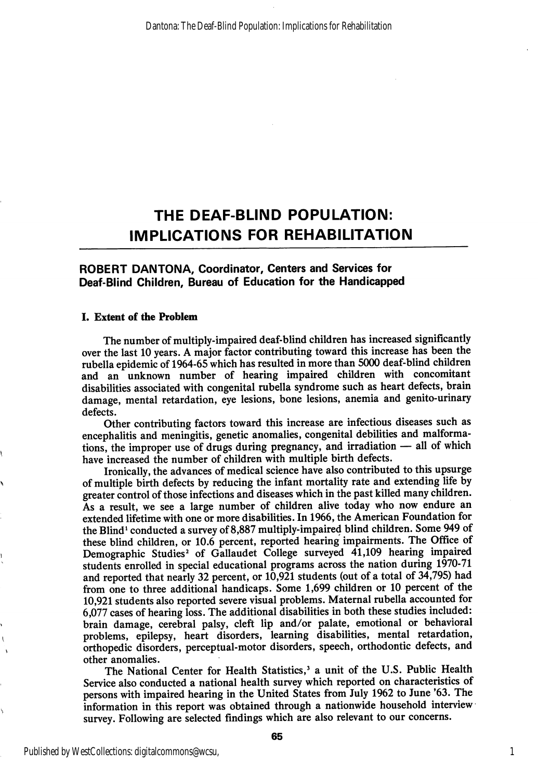## THE DEAF-BUND POPULATION: IMPLICATIONS FOR REHABILITATION

#### ROBERT DANTONA, Coordinator, Centers and Services for Deaf-Blind Children, Bureau of Education for the Handicapped

#### I. Extent of the Problem

The number of multiply-impaired deaf-blind children has increased significantly over the last 10 years. A major factor contributing toward this increase has been the rubella epidemic of 1964-65 which has resulted in more than 5000 deaf-blind children and an unknown number of hearing impaired children with concomitant disabilities associated with congenital rubella syndrome such as heart defects, brain damage, mental retardation, eye lesions, bone lesions, anemia and genito-urinary defects.

Other contributing factors toward this increase are infectious diseases such as encephalitis and meningitis, genetic anomalies, congenital debilities and malforma tions, the improper use of drugs during pregnancy, and irradiation — all of which have increased the number of children with multiple birth defects.

Ironically, the advances of medical science have also contributed to this upsurge of multiple birth defects by reducing the infant mortality rate and extending life by greater control of those infections and diseases which in the past killed many children. As a result, we see a large number of children alive today who now endure an extended lifetime with one or more disabilities. In 1966, the American Foundation for the Blind' conducted a survey of8,887 multiply-impaired blind children. Some 949 of these blind children, or 10.6 percent, reported hearing impairments. The Office of Demographic Studies<sup>2</sup> of Gallaudet College surveyed 41,109 hearing impaired students enrolled in special educational programs across the nation during 1970-71 and reported that nearly 32 percent, or 10,921 students (out of a total of 34,795) had from one to three additional handicaps. Some 1,699 children or 10 percent of the 10,921 students also reported severe visual problems. Maternal rubella accounted for 6,077 cases of hearing loss. The additional disabilities in both these studies included: brain damage, cerebral palsy, cleft lip and/or palate, emotional or behavioral problems, epilepsy, heart disorders, learning disabilities, mental retardation, orthopedic disorders, perceptual-motor disorders, speech, orthodontic defects, and other anomalies.

The National Center for Health Statistics,' a unit of the U.S. Public Health Service also conducted a national health survey which reported on characteristics of persons with impaired hearing in the United States from July 1962 to June '63. The information in this report was obtained through a nationwide household interview survey. Following are selected findings which are also relevant to our concerns.

1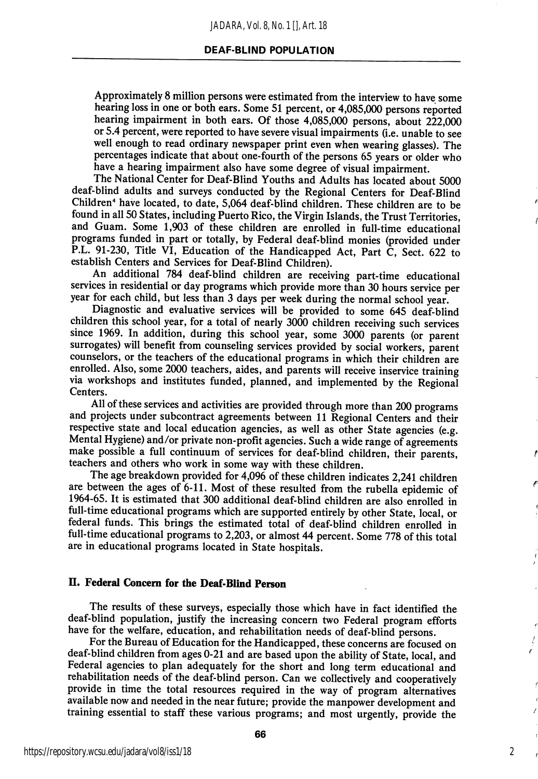#### DEAF-BLIND POPULATION

Approximately 8 million persons were estimated from the interview to have some hearing loss in one or both ears. Some 51 percent, or 4,085,000 persons reported hearing impairment in both ears. Of those 4,085,000 persons, about 222,000 or 5.4 percent, were reported to have severe visual impairments (i.e. unable to see well enough to read ordinary newspaper print even when wearing glasses). The percentages indicate that about one-fourth of the persons 65 years or older who have a hearing impairment also have some degree of visual impairment.

The National Center for Deaf-Blind Youths and Adults has located about 5000 deaf-blind adults and surveys conducted by the Regional Centers for Deaf-Blind Children" have located, to date, 5,064 deaf-blind children. These children are to be found in all 50 States, including Puerto Rico, the Virgin Islands, the Trust Territories, and Guam. Some 1,903 of these children are enrolled in full-time educational programs funded in part or totally, by Federal deaf-blind monies (provided under P.L. 91-230, Title VI, Education of the Handicapped Act, Part C, Sect. 622 to establish Centers and Services for Deaf-Blind Children).

An additional 784 deaf-blind children are receiving part-time educational services in residential or day programs which provide more than 30 hours service per year for each child, but less than 3 days per week during the normal school year.

Diagnostic and evaluative services will be provided to some 645 deaf-blind children this school year, for a total of nearly 3000 children receiving such services since 1969. In addition, during this school year, some 3000 parents (or parent surrogates) will benefit from counseling services provided by social workers, parent counselors, or the teachers of the educational programs in which their children are enrolled. Also, some 2000 teachers, aides, and parents will receive inservice training via workshops and institutes funded, planned, and implemented by the Regional Centers.

All of these services and activities are provided through more than 200 programs and projects under subcontract agreements between 11 Regional Centers and their respective state and local education agencies, as well as other State agencies (e.g. Mental Hygiene) and/or private non-profit agencies. Such a wide range of agreements make possible a full continuum of services for deaf-blind children, their parents, teachers and others who work in some way with these children.

The age breakdown provided for 4,096 of these children indicates 2,241 children are between the ages of 6-11. Most of these resulted from the rubella epidemic of 1964-65. It is estimated that 300 additional deaf-blind children are also enrolled in full-time educational programs which are supported entirely by other State, local, or federal funds. This brings the estimated total of deaf-blind children enrolled in full-time educational programs to 2,203, or almost 44 percent. Some 778 of this total are in educational programs located in State hospitals.

### II. Federal Concern for the Deaf-Blind Person

The results of these surveys, especially those which have in fact identified the deaf-blind population, justify the increasing concern two Federal program efforts have for the welfare, education, and rehabilitation needs of deaf-blind persons.

For the Bureau of Education for the Handicapped, these concerns are focused on deaf-blind children from ages 0-21 and are based upon the ability of State, local, and Federal agencies to plan adequately for the short and long term educational and rehabilitation needs of the deaf-blind person. Can we collectively and cooperatively provide in time the total resources required in the way of program alternatives available now and needed in the near future; provide the manpower development and training essential to staff these various programs; and most urgently, provide the

2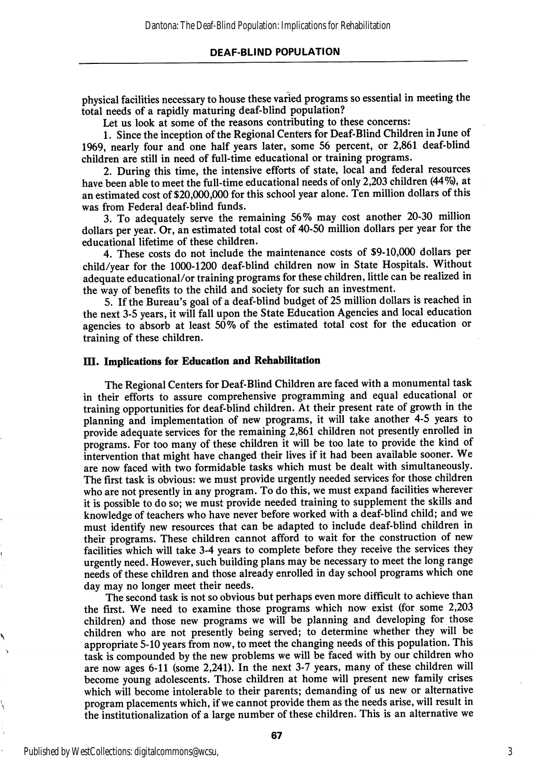#### DEAF-BLIND POPULATION

physical facilities necessary to house these varied programs so essential in meeting the total needs of a rapidly maturing deaf-blind population?

Let us look at some of the reasons contributing to these concerns:

1. Since the inception of the Regional Centers for Deaf-Blind Children in June of 1969, nearly four and one half years later, some 56 percent, or 2,861 deaf-blind children are still in need of full-time educational or training programs.

2. During this time, the intensive efforts of state, local and federal resources have been able to meet the full-time educational needs of only 2,203 children (44%), at an estimated cost of \$20,000,000 for this school year alone. Ten million dollars of this was from Federal deaf-blind funds.

3. To adequately serve the remaining 56% may cost another 20-30 million dollars per year. Or, an estimated total cost of 40-50 million dollars per year for the educational lifetime of these children.

4. These costs do not include the maintenance costs of \$9-10,000 dollars per child/year for the 1000-1200 deaf-blind children now in State Hospitals. Without adequate educational/or training programs for these children, little can be realized in the way of benefits to the child and society for such an investment.

5. If the Bureau's goal of a deaf-blind budget of 25 million dollars is reached in the next 3-5 years, it will fall upon the State Education Agencies and local education agencies to absorb at least 50% of the estimated total cost for the education or training of these children.

#### III. Implications for Education and Rehabilitation

The Regional Centers for Deaf-Blind Children are faced with a monumental task in their efforts to assure comprehensive programming and equal educational or training opportunities for deaf-blind children. At their present rate of growth in the planning and implementation of new programs, it will take another 4-5 years to provide adequate services for the remaining 2,861 children not presently enrolled in programs. For too many of these children it will be too late to provide the kind of intervention that might have changed their lives if it had been available sooner. We are now faced with two formidable tasks which must be dealt with simultaneously. The first task is obvious: we must provide urgently needed services for those children who are not presently in any program. To do this, we must expand facilities wherever it is possible to do so; we must provide needed training to supplement the skills and knowledge of teachers who have never before worked with a deaf-blind child; and we must identify new resources that can be adapted to include deaf-blind children in their programs. These children cannot afford to wait for the construction of new facilities which will take 3-4 years to complete before they receive the services they urgently need. However, such building plans may be necessary to meet the long range needs of these children and those already enrolled in day school programs which one day may no longer meet their needs.

The second task is not so obvious but perhaps even more difficult to achieve than the first. We need to examine those programs which now exist (for some 2,203 children) and those new programs we will be planning and developing for those children who are not presently being served; to determine whether they will be appropriate 5-10 years from now, to meet the changing needs of this population. This task is compounded by the new problems we will be faced with by our children who are now ages 6-11 (some 2,241). In the next 3-7 years, many of these children will become young adolescents. Those children at home will present new family crises which will become intolerable to their parents; demanding of us new or alternative program placements which, if we cannot provide them as the needs arise, will result in the institutionalization of a large number of these children. This is an alternative we